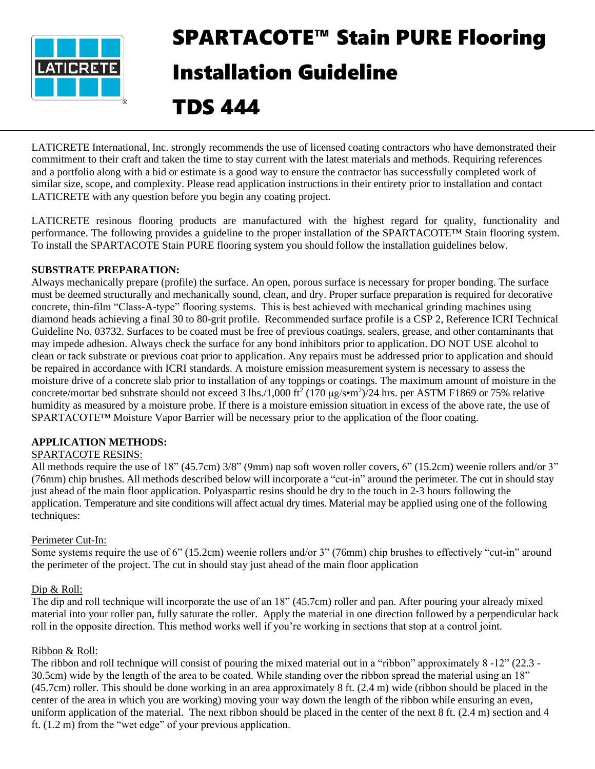

# SPARTACOTE™ Stain PURE Flooring Installation Guideline

TDS 444

LATICRETE International, Inc. strongly recommends the use of licensed coating contractors who have demonstrated their commitment to their craft and taken the time to stay current with the latest materials and methods. Requiring references and a portfolio along with a bid or estimate is a good way to ensure the contractor has successfully completed work of similar size, scope, and complexity. Please read application instructions in their entirety prior to installation and contact LATICRETE with any question before you begin any coating project.

LATICRETE resinous flooring products are manufactured with the highest regard for quality, functionality and performance. The following provides a guideline to the proper installation of the SPARTACOTE™ Stain flooring system. To install the SPARTACOTE Stain PURE flooring system you should follow the installation guidelines below.

# **SUBSTRATE PREPARATION:**

Always mechanically prepare (profile) the surface. An open, porous surface is necessary for proper bonding. The surface must be deemed structurally and mechanically sound, clean, and dry. Proper surface preparation is required for decorative concrete, thin-film "Class-A-type" flooring systems. This is best achieved with mechanical grinding machines using diamond heads achieving a final 30 to 80-grit profile. Recommended surface profile is a CSP 2, Reference ICRI Technical Guideline No. 03732. Surfaces to be coated must be free of previous coatings, sealers, grease, and other contaminants that may impede adhesion. Always check the surface for any bond inhibitors prior to application. DO NOT USE alcohol to clean or tack substrate or previous coat prior to application. Any repairs must be addressed prior to application and should be repaired in accordance with ICRI standards. A moisture emission measurement system is necessary to assess the moisture drive of a concrete slab prior to installation of any toppings or coatings. The maximum amount of moisture in the concrete/mortar bed substrate should not exceed 3 lbs./1,000 ft<sup>2</sup> (170  $\mu$ g/s•m<sup>2</sup>)/24 hrs. per ASTM F1869 or 75% relative humidity as measured by a moisture probe. If there is a moisture emission situation in excess of the above rate, the use of SPARTACOTE™ Moisture Vapor Barrier will be necessary prior to the application of the floor coating.

## **APPLICATION METHODS:**

# SPARTACOTE RESINS:

All methods require the use of 18" (45.7cm) 3/8" (9mm) nap soft woven roller covers, 6" (15.2cm) weenie rollers and/or 3" (76mm) chip brushes. All methods described below will incorporate a "cut-in" around the perimeter. The cut in should stay just ahead of the main floor application. Polyaspartic resins should be dry to the touch in 2-3 hours following the application. Temperature and site conditions will affect actual dry times. Material may be applied using one of the following techniques:

## Perimeter Cut-In:

Some systems require the use of 6" (15.2cm) weenie rollers and/or 3" (76mm) chip brushes to effectively "cut-in" around the perimeter of the project. The cut in should stay just ahead of the main floor application

## Dip & Roll:

The dip and roll technique will incorporate the use of an 18" (45.7cm) roller and pan. After pouring your already mixed material into your roller pan, fully saturate the roller. Apply the material in one direction followed by a perpendicular back roll in the opposite direction. This method works well if you're working in sections that stop at a control joint.

## Ribbon & Roll:

The ribbon and roll technique will consist of pouring the mixed material out in a "ribbon" approximately 8 -12" (22.3 - 30.5cm) wide by the length of the area to be coated. While standing over the ribbon spread the material using an 18" (45.7cm) roller. This should be done working in an area approximately 8 ft. (2.4 m) wide (ribbon should be placed in the center of the area in which you are working) moving your way down the length of the ribbon while ensuring an even, uniform application of the material. The next ribbon should be placed in the center of the next 8 ft. (2.4 m) section and 4 ft. (1.2 m) from the "wet edge" of your previous application.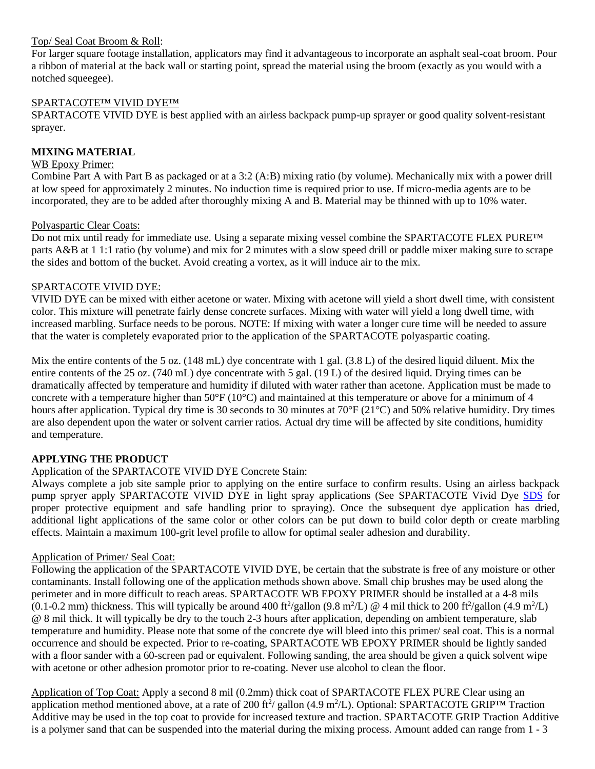## Top/ Seal Coat Broom & Roll:

For larger square footage installation, applicators may find it advantageous to incorporate an asphalt seal-coat broom. Pour a ribbon of material at the back wall or starting point, spread the material using the broom (exactly as you would with a notched squeegee).

## SPARTACOTE™ VIVID DYE™

SPARTACOTE VIVID DYE is best applied with an airless backpack pump-up sprayer or good quality solvent-resistant sprayer.

## **MIXING MATERIAL**

## WB Epoxy Primer:

Combine Part A with Part B as packaged or at a 3:2 (A:B) mixing ratio (by volume). Mechanically mix with a power drill at low speed for approximately 2 minutes. No induction time is required prior to use. If micro-media agents are to be incorporated, they are to be added after thoroughly mixing A and B. Material may be thinned with up to 10% water.

## Polyaspartic Clear Coats:

Do not mix until ready for immediate use. Using a separate mixing vessel combine the SPARTACOTE FLEX PURE™ parts A&B at 1 1:1 ratio (by volume) and mix for 2 minutes with a slow speed drill or paddle mixer making sure to scrape the sides and bottom of the bucket. Avoid creating a vortex, as it will induce air to the mix.

## SPARTACOTE VIVID DYE:

VIVID DYE can be mixed with either acetone or water. Mixing with acetone will yield a short dwell time, with consistent color. This mixture will penetrate fairly dense concrete surfaces. Mixing with water will yield a long dwell time, with increased marbling. Surface needs to be porous. NOTE: If mixing with water a longer cure time will be needed to assure that the water is completely evaporated prior to the application of the SPARTACOTE polyaspartic coating.

Mix the entire contents of the 5 oz.  $(148 \text{ mL})$  dye concentrate with 1 gal.  $(3.8 \text{ L})$  of the desired liquid diluent. Mix the entire contents of the 25 oz. (740 mL) dye concentrate with 5 gal. (19 L) of the desired liquid. Drying times can be dramatically affected by temperature and humidity if diluted with water rather than acetone. Application must be made to concrete with a temperature higher than  $50^{\circ}F(10^{\circ}C)$  and maintained at this temperature or above for a minimum of 4 hours after application. Typical dry time is 30 seconds to 30 minutes at 70 $\degree$ F (21 $\degree$ C) and 50% relative humidity. Dry times are also dependent upon the water or solvent carrier ratios. Actual dry time will be affected by site conditions, humidity and temperature.

# **APPLYING THE PRODUCT**

# Application of the SPARTACOTE VIVID DYE Concrete Stain:

Always complete a job site sample prior to applying on the entire surface to confirm results. Using an airless backpack pump spryer apply SPARTACOTE VIVID DYE in light spray applications (See SPARTACOTE Vivid Dye [SDS](https://cdn.laticrete.com/~/media/product-documents/safety-data-sheets/spartacote-vivid-dye-sds_us_english.ashx) for proper protective equipment and safe handling prior to spraying). Once the subsequent dye application has dried, additional light applications of the same color or other colors can be put down to build color depth or create marbling effects. Maintain a maximum 100-grit level profile to allow for optimal sealer adhesion and durability.

## Application of Primer/ Seal Coat:

Following the application of the SPARTACOTE VIVID DYE, be certain that the substrate is free of any moisture or other contaminants. Install following one of the application methods shown above. Small chip brushes may be used along the perimeter and in more difficult to reach areas. SPARTACOTE WB EPOXY PRIMER should be installed at a 4-8 mils  $(0.1-0.2 \text{ mm})$  thickness. This will typically be around 400 ft<sup>2</sup>/gallon  $(9.8 \text{ m}^2/\text{L})$  @ 4 mil thick to 200 ft<sup>2</sup>/gallon  $(4.9 \text{ m}^2/\text{L})$ @ 8 mil thick. It will typically be dry to the touch 2-3 hours after application, depending on ambient temperature, slab temperature and humidity. Please note that some of the concrete dye will bleed into this primer/ seal coat. This is a normal occurrence and should be expected. Prior to re-coating, SPARTACOTE WB EPOXY PRIMER should be lightly sanded with a floor sander with a 60-screen pad or equivalent. Following sanding, the area should be given a quick solvent wipe with acetone or other adhesion promotor prior to re-coating. Never use alcohol to clean the floor.

Application of Top Coat: Apply a second 8 mil (0.2mm) thick coat of SPARTACOTE FLEX PURE Clear using an application method mentioned above, at a rate of 200 ft<sup>2</sup>/ gallon (4.9 m<sup>2</sup>/L). Optional: SPARTACOTE GRIP<sup>TM</sup> Traction Additive may be used in the top coat to provide for increased texture and traction. SPARTACOTE GRIP Traction Additive is a polymer sand that can be suspended into the material during the mixing process. Amount added can range from 1 - 3